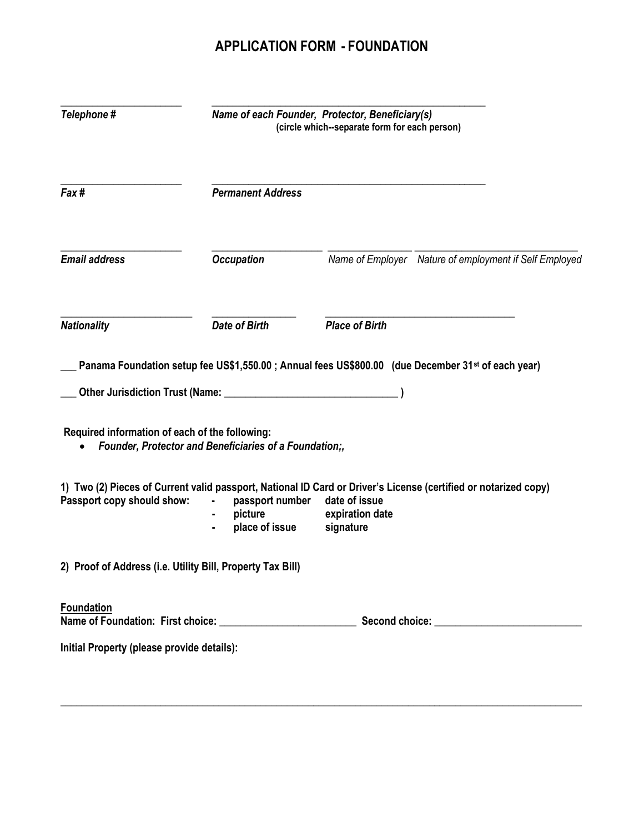## APPLICATION FORM - FOUNDATION

| Telephone#                                                 | Name of each Founder, Protector, Beneficiary(s)<br>(circle which--separate form for each person) |                                                                                                                                                                  |  |
|------------------------------------------------------------|--------------------------------------------------------------------------------------------------|------------------------------------------------------------------------------------------------------------------------------------------------------------------|--|
| Fax#                                                       | <b>Permanent Address</b>                                                                         |                                                                                                                                                                  |  |
| <b>Email address</b>                                       | <b>Occupation</b>                                                                                | Name of Employer Nature of employment if Self Employed                                                                                                           |  |
| <b>Nationality</b>                                         | <b>Date of Birth</b>                                                                             | <b>Place of Birth</b>                                                                                                                                            |  |
|                                                            |                                                                                                  | Panama Foundation setup fee US\$1,550.00; Annual fees US\$800.00 (due December 31 <sup>st</sup> of each year)                                                    |  |
|                                                            |                                                                                                  |                                                                                                                                                                  |  |
| Required information of each of the following:             | Founder, Protector and Beneficiaries of a Foundation;,                                           |                                                                                                                                                                  |  |
| Passport copy should show:                                 | passport number<br>picture<br>place of issue                                                     | 1) Two (2) Pieces of Current valid passport, National ID Card or Driver's License (certified or notarized copy)<br>date of issue<br>expiration date<br>signature |  |
| 2) Proof of Address (i.e. Utility Bill, Property Tax Bill) |                                                                                                  |                                                                                                                                                                  |  |
| <b>Foundation</b>                                          |                                                                                                  |                                                                                                                                                                  |  |
| Initial Property (please provide details):                 |                                                                                                  |                                                                                                                                                                  |  |
|                                                            |                                                                                                  |                                                                                                                                                                  |  |

\_\_\_\_\_\_\_\_\_\_\_\_\_\_\_\_\_\_\_\_\_\_\_\_\_\_\_\_\_\_\_\_\_\_\_\_\_\_\_\_\_\_\_\_\_\_\_\_\_\_\_\_\_\_\_\_\_\_\_\_\_\_\_\_\_\_\_\_\_\_\_\_\_\_\_\_\_\_\_\_\_\_\_\_\_\_\_\_\_\_\_\_\_\_\_\_\_\_\_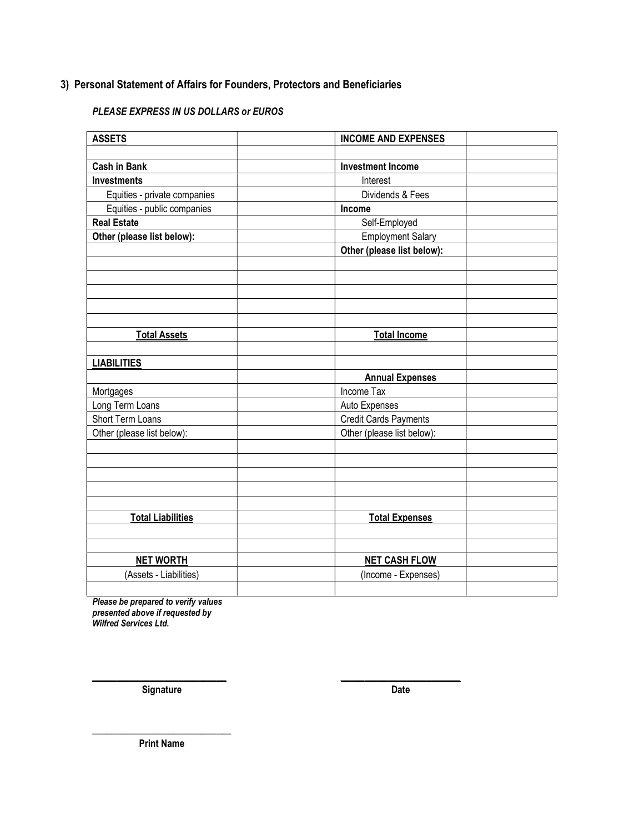## 3) Personal Statement of Affairs for Founders, Protectors and Beneficiaries

## PLEASE EXPRESS IN US DOLLARS or EUROS

| <b>ASSETS</b>                | <b>INCOME AND EXPENSES</b>   |  |
|------------------------------|------------------------------|--|
|                              |                              |  |
| <b>Cash in Bank</b>          | <b>Investment Income</b>     |  |
| <b>Investments</b>           | Interest                     |  |
| Equities - private companies | Dividends & Fees             |  |
| Equities - public companies  | Income                       |  |
| <b>Real Estate</b>           | Self-Employed                |  |
| Other (please list below):   | Employment Salary            |  |
|                              | Other (please list below):   |  |
|                              |                              |  |
|                              |                              |  |
|                              |                              |  |
|                              |                              |  |
|                              |                              |  |
| <b>Total Assets</b>          | <b>Total Income</b>          |  |
|                              |                              |  |
| <b>LIABILITIES</b>           |                              |  |
|                              | <b>Annual Expenses</b>       |  |
| Mortgages                    | Income Tax                   |  |
| Long Term Loans              | Auto Expenses                |  |
| Short Term Loans             | <b>Credit Cards Payments</b> |  |
| Other (please list below):   | Other (please list below):   |  |
|                              |                              |  |
|                              |                              |  |
|                              |                              |  |
|                              |                              |  |
|                              |                              |  |
| <b>Total Liabilities</b>     | <b>Total Expenses</b>        |  |
|                              |                              |  |
|                              |                              |  |
| <b>NET WORTH</b>             | <b>NET CASH FLOW</b>         |  |
| (Assets - Liabilities)       | (Income - Expenses)          |  |
|                              |                              |  |

\_\_\_\_\_\_\_\_\_\_\_\_\_\_\_\_\_\_\_\_\_\_\_\_\_\_\_\_ \_\_\_\_\_\_\_\_\_\_\_\_\_\_\_\_\_\_\_\_\_\_\_\_\_

Please be prepared to verify values presented above if requested by Wilfred Services Ltd.

Signature Date

\_\_\_\_\_\_\_\_\_\_\_\_\_\_\_\_\_\_\_\_\_\_\_\_\_\_\_\_\_ Print Name